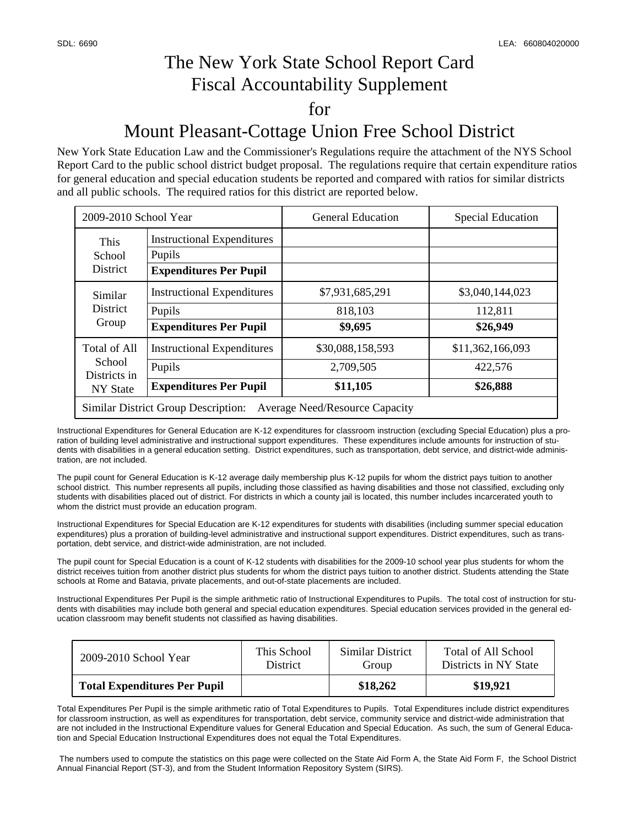## The New York State School Report Card Fiscal Accountability Supplement for Mount Pleasant-Cottage Union Free School District

### New York State Education Law and the Commissioner's Regulations require the attachment of the NYS School Report Card to the public school district budget proposal. The regulations require that certain expenditure ratios for general education and special education students be reported and compared with ratios for similar districts

and all public schools. The required ratios for this district are reported below.

| 2009-2010 School Year                                                               |                                                                              | <b>General Education</b>                  | <b>Special Education</b>                |  |  |  |
|-------------------------------------------------------------------------------------|------------------------------------------------------------------------------|-------------------------------------------|-----------------------------------------|--|--|--|
| This<br>School<br><b>District</b>                                                   | <b>Instructional Expenditures</b><br>Pupils<br><b>Expenditures Per Pupil</b> |                                           |                                         |  |  |  |
| Similar<br>District<br>Group                                                        | <b>Instructional Expenditures</b><br>Pupils<br><b>Expenditures Per Pupil</b> | \$7,931,685,291<br>818,103<br>\$9,695     | \$3,040,144,023<br>112,811<br>\$26,949  |  |  |  |
| Total of All<br>School<br>Districts in<br>NY State                                  | <b>Instructional Expenditures</b><br>Pupils<br><b>Expenditures Per Pupil</b> | \$30,088,158,593<br>2,709,505<br>\$11,105 | \$11,362,166,093<br>422,576<br>\$26,888 |  |  |  |
| <b>Similar District Group Description:</b><br><b>Average Need/Resource Capacity</b> |                                                                              |                                           |                                         |  |  |  |

Instructional Expenditures for General Education are K-12 expenditures for classroom instruction (excluding Special Education) plus a proration of building level administrative and instructional support expenditures. These expenditures include amounts for instruction of students with disabilities in a general education setting. District expenditures, such as transportation, debt service, and district-wide administration, are not included.

The pupil count for General Education is K-12 average daily membership plus K-12 pupils for whom the district pays tuition to another school district. This number represents all pupils, including those classified as having disabilities and those not classified, excluding only students with disabilities placed out of district. For districts in which a county jail is located, this number includes incarcerated youth to whom the district must provide an education program.

Instructional Expenditures for Special Education are K-12 expenditures for students with disabilities (including summer special education expenditures) plus a proration of building-level administrative and instructional support expenditures. District expenditures, such as transportation, debt service, and district-wide administration, are not included.

The pupil count for Special Education is a count of K-12 students with disabilities for the 2009-10 school year plus students for whom the district receives tuition from another district plus students for whom the district pays tuition to another district. Students attending the State schools at Rome and Batavia, private placements, and out-of-state placements are included.

Instructional Expenditures Per Pupil is the simple arithmetic ratio of Instructional Expenditures to Pupils. The total cost of instruction for students with disabilities may include both general and special education expenditures. Special education services provided in the general education classroom may benefit students not classified as having disabilities.

| 2009-2010 School Year               | This School     | Similar District | Total of All School   |
|-------------------------------------|-----------------|------------------|-----------------------|
|                                     | <b>District</b> | Group            | Districts in NY State |
| <b>Total Expenditures Per Pupil</b> |                 | \$18,262         | \$19,921              |

Total Expenditures Per Pupil is the simple arithmetic ratio of Total Expenditures to Pupils. Total Expenditures include district expenditures for classroom instruction, as well as expenditures for transportation, debt service, community service and district-wide administration that are not included in the Instructional Expenditure values for General Education and Special Education. As such, the sum of General Education and Special Education Instructional Expenditures does not equal the Total Expenditures.

 The numbers used to compute the statistics on this page were collected on the State Aid Form A, the State Aid Form F, the School District Annual Financial Report (ST-3), and from the Student Information Repository System (SIRS).